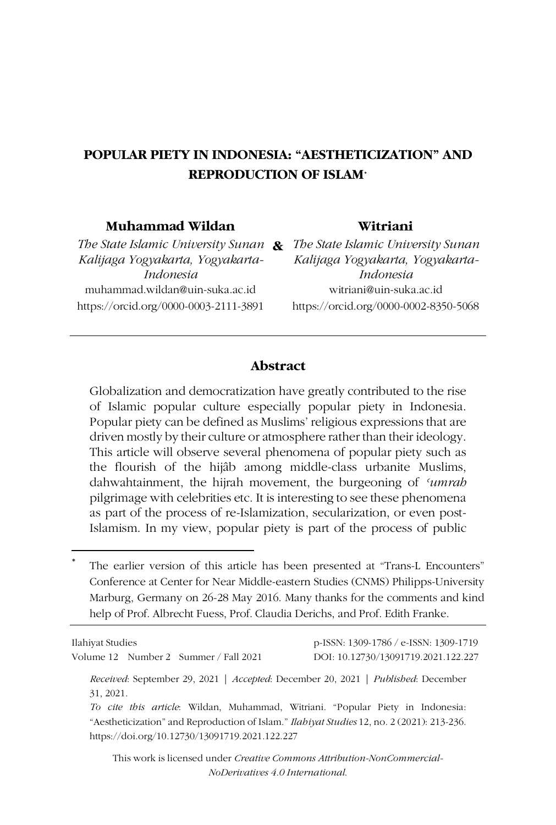# **POPULAR PIETY IN INDONESIA: "AESTHETICIZATION" AND REPRODUCTION OF ISLAM**\*

#### **Muhammad Wildan**

*Kalijaga Yogyakarta, Yogyakarta-Indonesia* muhammad.wildan@uin-suka.ac.id https://orcid.org/0000-0003-2111-3891

#### **Witriani**

*The State Islamic University Sunan*  **&** *The State Islamic University Sunan Kalijaga Yogyakarta, Yogyakarta-Indonesia* witriani@uin-suka.ac.id https://orcid.org/0000-0002-8350-5068

#### **Abstract**

Globalization and democratization have greatly contributed to the rise of Islamic popular culture especially popular piety in Indonesia. Popular piety can be defined as Muslims' religious expressions that are driven mostly by their culture or atmosphere rather than their ideology. This article will observe several phenomena of popular piety such as the flourish of the hijâb among middle-class urbanite Muslims, dahwahtainment, the hijrah movement, the burgeoning of *ʿumrah* pilgrimage with celebrities etc. It is interesting to see these phenomena as part of the process of re-Islamization, secularization, or even post-Islamism. In my view, popular piety is part of the process of public

The earlier version of this article has been presented at "Trans-L Encounters" Conference at Center for Near Middle-eastern Studies (CNMS) Philipps-University Marburg, Germany on 26-28 May 2016. Many thanks for the comments and kind help of Prof. Albrecht Fuess, Prof. Claudia Derichs, and Prof. Edith Franke.

| Ilahiyat Studies<br>Volume 12 Number 2 Summer / Fall 2021                                                                                                                                                                                                                            | p-ISSN: 1309-1786 / e-ISSN: 1309-1719<br>DOI: 10.12730/13091719.2021.122.227 |
|--------------------------------------------------------------------------------------------------------------------------------------------------------------------------------------------------------------------------------------------------------------------------------------|------------------------------------------------------------------------------|
| Received: September 29, 2021   Accepted: December 20, 2021   Published: December<br>31, 2021.<br>To cite this article: Wildan, Muhammad, Witriani. "Popular Piety in Indonesia:<br>"Aestheticization" and Reproduction of Islam." <i>Ilabiyat Studies</i> 12, no. 2 (2021): 213-236. |                                                                              |
| https://doi.org/10.12730/13091719.2021.122.227<br>This work is licensed under <i>Creative Commons Attribution-NonCommercial</i> -                                                                                                                                                    |                                                                              |

*NoDerivatives 4.0 International*.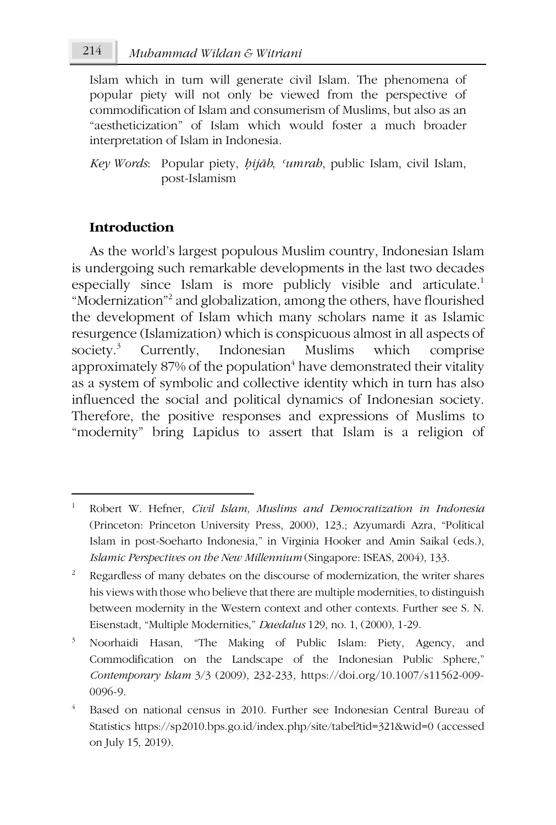Islam which in turn will generate civil Islam. The phenomena of popular piety will not only be viewed from the perspective of commodification of Islam and consumerism of Muslims, but also as an "aestheticization" of Islam which would foster a much broader interpretation of Islam in Indonesia.

*Key Words*: Popular piety, *ḥijāb*, *ʿumrah*, public Islam, civil Islam, post-Islamism

# **Introduction**

1

As the world's largest populous Muslim country, Indonesian Islam is undergoing such remarkable developments in the last two decades especially since Islam is more publicly visible and articulate.<sup>1</sup> "Modernization"2 and globalization, among the others, have flourished the development of Islam which many scholars name it as Islamic resurgence (Islamization) which is conspicuous almost in all aspects of society.<sup>3</sup> Currently, Indonesian Muslims which comprise approximately  $87\%$  of the population<sup>4</sup> have demonstrated their vitality as a system of symbolic and collective identity which in turn has also influenced the social and political dynamics of Indonesian society. Therefore, the positive responses and expressions of Muslims to "modernity" bring Lapidus to assert that Islam is a religion of

<sup>1</sup> Robert W. Hefner, *Civil Islam, Muslims and Democratization in Indonesia* (Princeton: Princeton University Press, 2000), 123.; Azyumardi Azra, "Political Islam in post-Soeharto Indonesia," in Virginia Hooker and Amin Saikal (eds.), *Islamic Perspectives on the New Millennium* (Singapore: ISEAS, 2004), 133.

<sup>&</sup>lt;sup>2</sup> Regardless of many debates on the discourse of modernization, the writer shares his views with those who believe that there are multiple modernities, to distinguish between modernity in the Western context and other contexts. Further see S. N. Eisenstadt, "Multiple Modernities," *Daedalus* 129, no. 1, (2000), 1-29.

<sup>3</sup> Noorhaidi Hasan, "The Making of Public Islam: Piety, Agency, and Commodification on the Landscape of the Indonesian Public Sphere," *Contemporary Islam* 3/3 (2009), 232-233, https://doi.org/10.1007/s11562-009- 0096-9.

<sup>4</sup> Based on national census in 2010. Further see Indonesian Central Bureau of Statistics https://sp2010.bps.go.id/index.php/site/tabel?tid=321&wid=0 (accessed on July 15, 2019).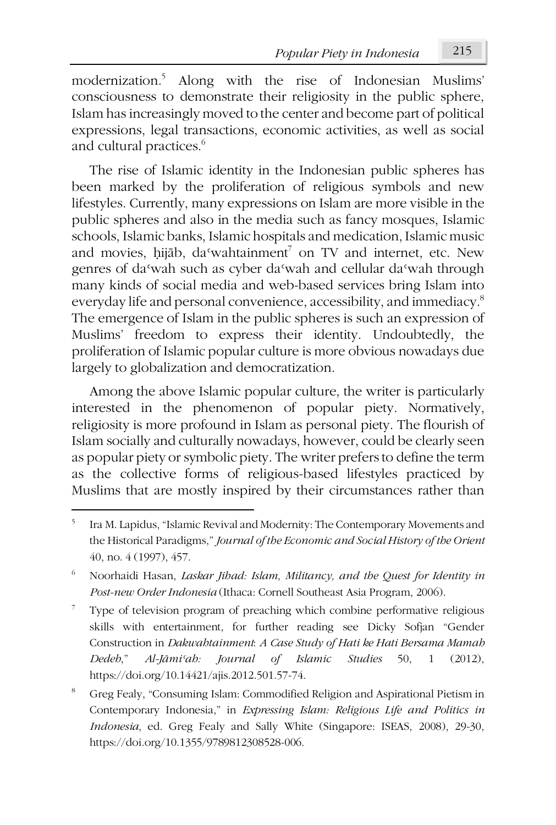modernization.5 Along with the rise of Indonesian Muslims' consciousness to demonstrate their religiosity in the public sphere, Islam has increasingly moved to the center and become part of political expressions, legal transactions, economic activities, as well as social and cultural practices.<sup>6</sup>

The rise of Islamic identity in the Indonesian public spheres has been marked by the proliferation of religious symbols and new lifestyles. Currently, many expressions on Islam are more visible in the public spheres and also in the media such as fancy mosques, Islamic schools, Islamic banks, Islamic hospitals and medication, Islamic music and movies, hijāb, da'wahtainment<sup>7</sup> on TV and internet, etc. New genres of daʿwah such as cyber daʿwah and cellular daʿwah through many kinds of social media and web-based services bring Islam into everyday life and personal convenience, accessibility, and immediacy.8 The emergence of Islam in the public spheres is such an expression of Muslims' freedom to express their identity. Undoubtedly, the proliferation of Islamic popular culture is more obvious nowadays due largely to globalization and democratization.

Among the above Islamic popular culture, the writer is particularly interested in the phenomenon of popular piety. Normatively, religiosity is more profound in Islam as personal piety. The flourish of Islam socially and culturally nowadays, however, could be clearly seen as popular piety or symbolic piety. The writer prefers to define the term as the collective forms of religious-based lifestyles practiced by Muslims that are mostly inspired by their circumstances rather than

1

7 Type of television program of preaching which combine performative religious skills with entertainment, for further reading see Dicky Sofjan "Gender Construction in *Dakwahtainment*: *A Case Study of Hati ke Hati Bersama Mamah Dedeh*," *Al-Jāmiʿah: Journal of Islamic Studies* 50, 1 (2012), https://doi.org/10.14421/ajis.2012.501.57-74.

<sup>5</sup> Ira M. Lapidus, "Islamic Revival and Modernity: The Contemporary Movements and the Historical Paradigms," *Journal of the Economic and Social History of the Orient* 40, no. 4 (1997), 457.

<sup>6</sup> Noorhaidi Hasan, *Laskar Jihad: Islam, Militancy, and the Quest for Identity in Post-new Order Indonesia* (Ithaca: Cornell Southeast Asia Program, 2006).

<sup>8</sup> Greg Fealy, "Consuming Islam: Commodified Religion and Aspirational Pietism in Contemporary Indonesia," in *Expressing Islam: Religious Life and Politics in Indonesia*, ed. Greg Fealy and Sally White (Singapore: ISEAS, 2008), 29-30, https://doi.org/10.1355/9789812308528-006.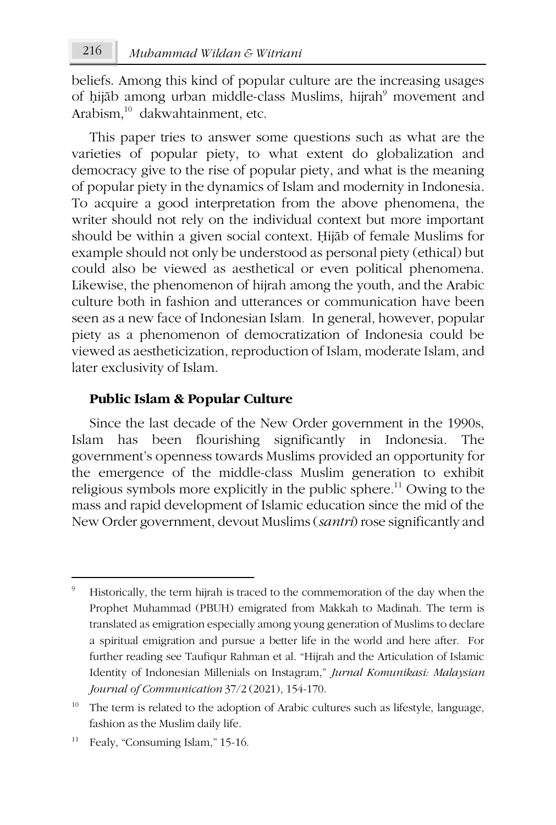beliefs. Among this kind of popular culture are the increasing usages of hijāb among urban middle-class Muslims, hijrah<sup>9</sup> movement and Arabism, 10 dakwahtainment, etc.

This paper tries to answer some questions such as what are the varieties of popular piety, to what extent do globalization and democracy give to the rise of popular piety, and what is the meaning of popular piety in the dynamics of Islam and modernity in Indonesia. To acquire a good interpretation from the above phenomena, the writer should not rely on the individual context but more important should be within a given social context. Ḥijāb of female Muslims for example should not only be understood as personal piety (ethical) but could also be viewed as aesthetical or even political phenomena. Likewise, the phenomenon of hijrah among the youth, and the Arabic culture both in fashion and utterances or communication have been seen as a new face of Indonesian Islam. In general, however, popular piety as a phenomenon of democratization of Indonesia could be viewed as aestheticization, reproduction of Islam, moderate Islam, and later exclusivity of Islam.

## **Public Islam & Popular Culture**

Since the last decade of the New Order government in the 1990s, Islam has been flourishing significantly in Indonesia. The government's openness towards Muslims provided an opportunity for the emergence of the middle-class Muslim generation to exhibit religious symbols more explicitly in the public sphere.<sup>11</sup> Owing to the mass and rapid development of Islamic education since the mid of the New Order government, devout Muslims (*santri*) rose significantly and

Fealy, "Consuming Islam," 15-16.

<sup>9</sup> Historically, the term hijrah is traced to the commemoration of the day when the Prophet Muhammad (PBUH) emigrated from Makkah to Madinah. The term is translated as emigration especially among young generation of Muslims to declare a spiritual emigration and pursue a better life in the world and here after. For further reading see Taufiqur Rahman et al. "Hijrah and the Articulation of Islamic Identity of Indonesian Millenials on Instagram," *Jurnal Komunikasi: Malaysian Journal of Communication* 37/2 (2021), 154-170.

 $10$  The term is related to the adoption of Arabic cultures such as lifestyle, language, fashion as the Muslim daily life.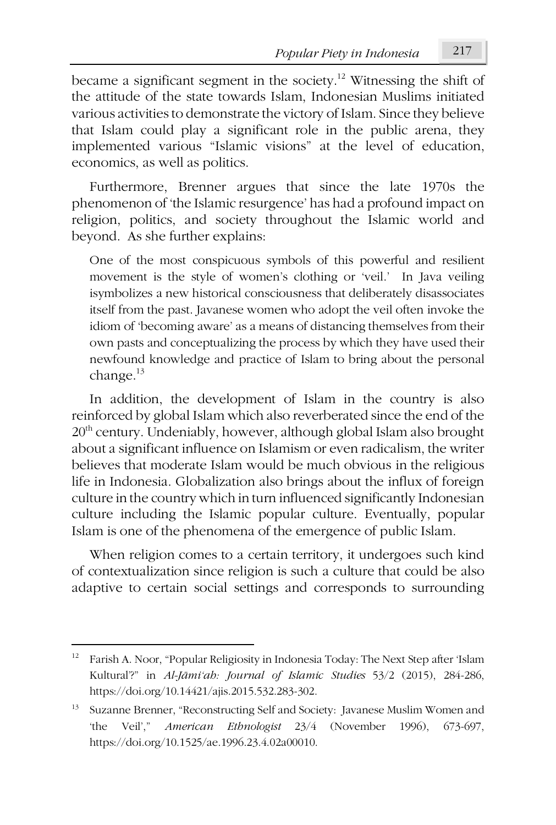became a significant segment in the society.<sup>12</sup> Witnessing the shift of the attitude of the state towards Islam, Indonesian Muslims initiated various activities to demonstrate the victory of Islam. Since they believe that Islam could play a significant role in the public arena, they implemented various "Islamic visions" at the level of education, economics, as well as politics.

Furthermore, Brenner argues that since the late 1970s the phenomenon of 'the Islamic resurgence' has had a profound impact on religion, politics, and society throughout the Islamic world and beyond. As she further explains:

One of the most conspicuous symbols of this powerful and resilient movement is the style of women's clothing or 'veil.' In Java veiling isymbolizes a new historical consciousness that deliberately disassociates itself from the past. Javanese women who adopt the veil often invoke the idiom of 'becoming aware' as a means of distancing themselves from their own pasts and conceptualizing the process by which they have used their newfound knowledge and practice of Islam to bring about the personal change. $13$ 

In addition, the development of Islam in the country is also reinforced by global Islam which also reverberated since the end of the  $20<sup>th</sup>$  century. Undeniably, however, although global Islam also brought about a significant influence on Islamism or even radicalism, the writer believes that moderate Islam would be much obvious in the religious life in Indonesia. Globalization also brings about the influx of foreign culture in the country which in turn influenced significantly Indonesian culture including the Islamic popular culture. Eventually, popular Islam is one of the phenomena of the emergence of public Islam.

When religion comes to a certain territory, it undergoes such kind of contextualization since religion is such a culture that could be also adaptive to certain social settings and corresponds to surrounding

 $\overline{a}$ 

<sup>12</sup> Farish A. Noor, "Popular Religiosity in Indonesia Today: The Next Step after 'Islam Kultural'?" in *Al-Jāmi'ah: Journal of Islamic Studies* 53/2 (2015), 284-286, https://doi.org/10.14421/ajis.2015.532.283-302.

<sup>&</sup>lt;sup>13</sup> Suzanne Brenner, "Reconstructing Self and Society: Javanese Muslim Women and 'the Veil'," *American Ethnologist* 23/4 (November 1996), 673-697, https://doi.org/10.1525/ae.1996.23.4.02a00010.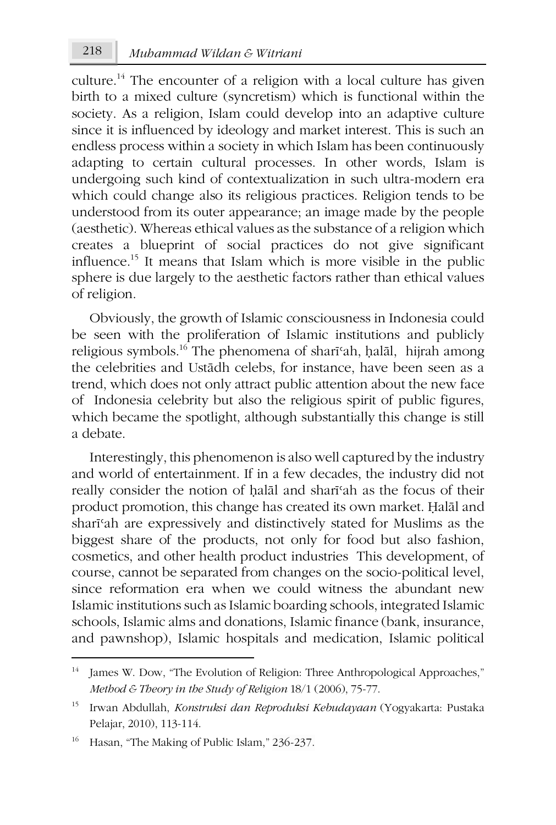culture.<sup>14</sup> The encounter of a religion with a local culture has given birth to a mixed culture (syncretism) which is functional within the society. As a religion, Islam could develop into an adaptive culture since it is influenced by ideology and market interest. This is such an endless process within a society in which Islam has been continuously adapting to certain cultural processes. In other words, Islam is undergoing such kind of contextualization in such ultra-modern era which could change also its religious practices. Religion tends to be understood from its outer appearance; an image made by the people (aesthetic). Whereas ethical values as the substance of a religion which creates a blueprint of social practices do not give significant influence.15 It means that Islam which is more visible in the public sphere is due largely to the aesthetic factors rather than ethical values of religion.

Obviously, the growth of Islamic consciousness in Indonesia could be seen with the proliferation of Islamic institutions and publicly religious symbols.16 The phenomena of sharīʿah, ḥalāl, hijrah among the celebrities and Ustādh celebs, for instance, have been seen as a trend, which does not only attract public attention about the new face of Indonesia celebrity but also the religious spirit of public figures, which became the spotlight, although substantially this change is still a debate.

Interestingly, this phenomenon is also well captured by the industry and world of entertainment. If in a few decades, the industry did not really consider the notion of ḥalāl and sharīʿah as the focus of their product promotion, this change has created its own market. Ḥalāl and sharīʿah are expressively and distinctively stated for Muslims as the biggest share of the products, not only for food but also fashion, cosmetics, and other health product industries This development, of course, cannot be separated from changes on the socio-political level, since reformation era when we could witness the abundant new Islamic institutions such as Islamic boarding schools, integrated Islamic schools, Islamic alms and donations, Islamic finance (bank, insurance, and pawnshop), Islamic hospitals and medication, Islamic political

<sup>&</sup>lt;sup>14</sup> James W. Dow, "The Evolution of Religion: Three Anthropological Approaches," *Method & Theory in the Study of Religion* 18/1 (2006), 75-77.

<sup>15</sup> Irwan Abdullah, *Konstruksi dan Reproduksi Kebudayaan* (Yogyakarta: Pustaka Pelajar, 2010), 113-114.

Hasan, "The Making of Public Islam," 236-237.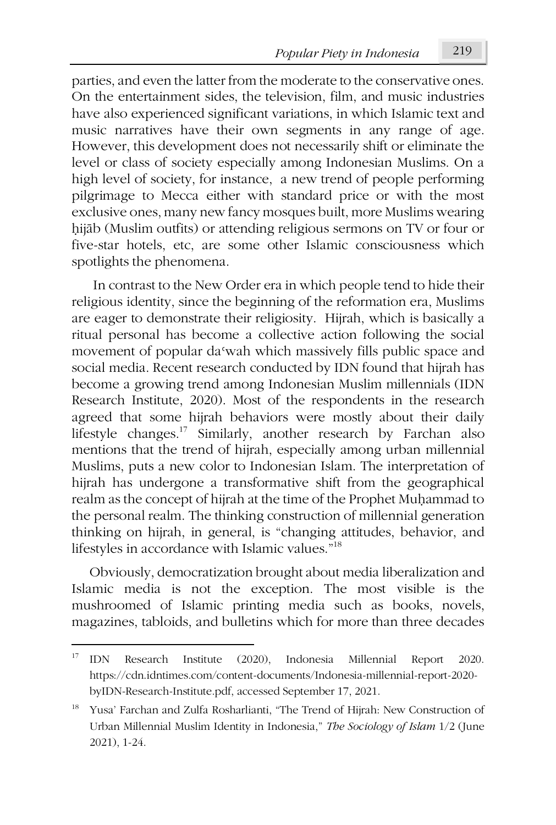parties, and even the latter from the moderate to the conservative ones. On the entertainment sides, the television, film, and music industries have also experienced significant variations, in which Islamic text and music narratives have their own segments in any range of age. However, this development does not necessarily shift or eliminate the level or class of society especially among Indonesian Muslims. On a high level of society, for instance, a new trend of people performing pilgrimage to Mecca either with standard price or with the most exclusive ones, many new fancy mosques built, more Muslims wearing hijāb (Muslim outfits) or attending religious sermons on TV or four or five-star hotels, etc, are some other Islamic consciousness which spotlights the phenomena.

In contrast to the New Order era in which people tend to hide their religious identity, since the beginning of the reformation era, Muslims are eager to demonstrate their religiosity. Hijrah, which is basically a ritual personal has become a collective action following the social movement of popular das wah which massively fills public space and social media. Recent research conducted by IDN found that hijrah has become a growing trend among Indonesian Muslim millennials (IDN Research Institute, 2020). Most of the respondents in the research agreed that some hijrah behaviors were mostly about their daily lifestyle changes.17 Similarly, another research by Farchan also mentions that the trend of hijrah, especially among urban millennial Muslims, puts a new color to Indonesian Islam. The interpretation of hijrah has undergone a transformative shift from the geographical realm as the concept of hijrah at the time of the Prophet Muhammad to the personal realm. The thinking construction of millennial generation thinking on hijrah, in general, is "changing attitudes, behavior, and lifestyles in accordance with Islamic values." 18

Obviously, democratization brought about media liberalization and Islamic media is not the exception. The most visible is the mushroomed of Islamic printing media such as books, novels, magazines, tabloids, and bulletins which for more than three decades

 $\overline{a}$ 

<sup>17</sup> IDN Research Institute (2020), Indonesia Millennial Report 2020. https://cdn.idntimes.com/content-documents/Indonesia-millennial-report-2020 byIDN-Research-Institute.pdf, accessed September 17, 2021.

<sup>&</sup>lt;sup>18</sup> Yusa' Farchan and Zulfa Rosharlianti, "The Trend of Hijrah: New Construction of Urban Millennial Muslim Identity in Indonesia," *The Sociology of Islam* 1/2 (June 2021), 1-24.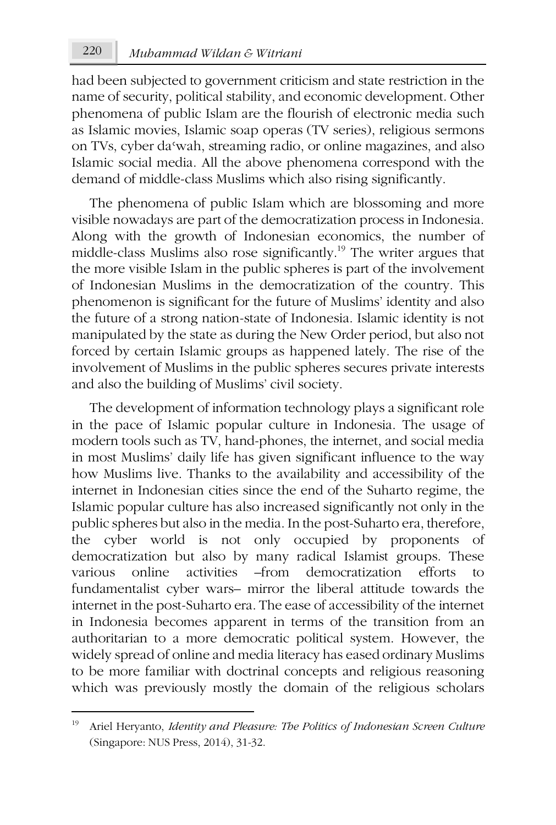had been subjected to government criticism and state restriction in the name of security, political stability, and economic development. Other phenomena of public Islam are the flourish of electronic media such as Islamic movies, Islamic soap operas (TV series), religious sermons on TVs, cyber daʿwah, streaming radio, or online magazines, and also Islamic social media. All the above phenomena correspond with the demand of middle-class Muslims which also rising significantly.

The phenomena of public Islam which are blossoming and more visible nowadays are part of the democratization process in Indonesia. Along with the growth of Indonesian economics, the number of middle-class Muslims also rose significantly.19 The writer argues that the more visible Islam in the public spheres is part of the involvement of Indonesian Muslims in the democratization of the country. This phenomenon is significant for the future of Muslims' identity and also the future of a strong nation-state of Indonesia. Islamic identity is not manipulated by the state as during the New Order period, but also not forced by certain Islamic groups as happened lately. The rise of the involvement of Muslims in the public spheres secures private interests and also the building of Muslims' civil society.

The development of information technology plays a significant role in the pace of Islamic popular culture in Indonesia. The usage of modern tools such as TV, hand-phones, the internet, and social media in most Muslims' daily life has given significant influence to the way how Muslims live. Thanks to the availability and accessibility of the internet in Indonesian cities since the end of the Suharto regime, the Islamic popular culture has also increased significantly not only in the public spheres but also in the media. In the post-Suharto era, therefore, the cyber world is not only occupied by proponents of democratization but also by many radical Islamist groups. These various online activities –from democratization efforts to fundamentalist cyber wars– mirror the liberal attitude towards the internet in the post-Suharto era. The ease of accessibility of the internet in Indonesia becomes apparent in terms of the transition from an authoritarian to a more democratic political system. However, the widely spread of online and media literacy has eased ordinary Muslims to be more familiar with doctrinal concepts and religious reasoning which was previously mostly the domain of the religious scholars

<sup>19</sup> Ariel Heryanto, *Identity and Pleasure: The Politics of Indonesian Screen Culture* (Singapore: NUS Press, 2014), 31-32.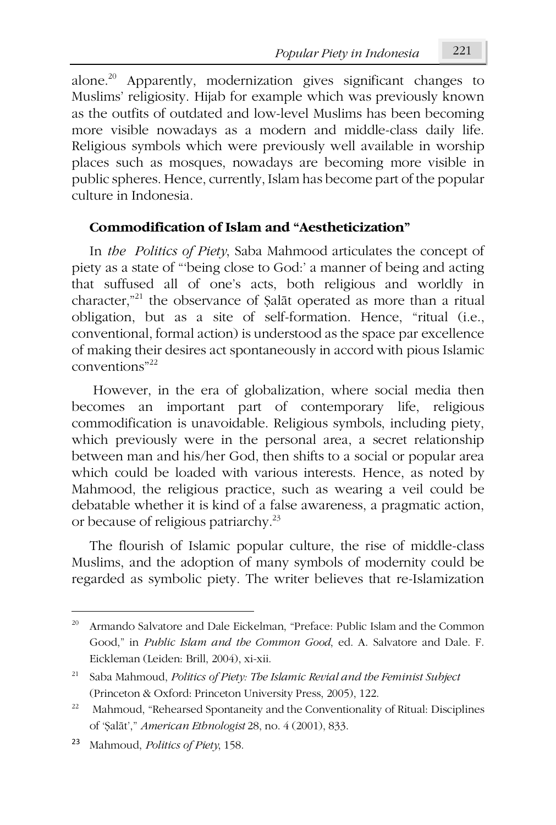*Popular Piety in Indonesia* 221

alone.20 Apparently, modernization gives significant changes to Muslims' religiosity. Hijab for example which was previously known as the outfits of outdated and low-level Muslims has been becoming more visible nowadays as a modern and middle-class daily life. Religious symbols which were previously well available in worship places such as mosques, nowadays are becoming more visible in public spheres. Hence, currently, Islam has become part of the popular culture in Indonesia.

# **Commodification of Islam and "Aestheticization"**

In *the Politics of Piety*, Saba Mahmood articulates the concept of piety as a state of "'being close to God:' a manner of being and acting that suffused all of one's acts, both religious and worldly in character," <sup>21</sup> the observance of Ṣalāt operated as more than a ritual obligation, but as a site of self-formation. Hence, "ritual (i.e., conventional, formal action) is understood as the space par excellence of making their desires act spontaneously in accord with pious Islamic conventions"22

However, in the era of globalization, where social media then becomes an important part of contemporary life, religious commodification is unavoidable. Religious symbols, including piety, which previously were in the personal area, a secret relationship between man and his/her God, then shifts to a social or popular area which could be loaded with various interests. Hence, as noted by Mahmood, the religious practice, such as wearing a veil could be debatable whether it is kind of a false awareness, a pragmatic action, or because of religious patriarchy. 23

The flourish of Islamic popular culture, the rise of middle-class Muslims, and the adoption of many symbols of modernity could be regarded as symbolic piety. The writer believes that re-Islamization

<sup>&</sup>lt;sup>20</sup> Armando Salvatore and Dale Eickelman, "Preface: Public Islam and the Common Good," in *Public Islam and the Common Good*, ed. A. Salvatore and Dale. F. Eickleman (Leiden: Brill, 2004), xi-xii.

<sup>21</sup> Saba Mahmoud, *Politics of Piety: The Islamic Revial and the Feminist Subject* (Princeton & Oxford: Princeton University Press, 2005), 122.

<sup>&</sup>lt;sup>22</sup> Mahmoud, "Rehearsed Spontaneity and the Conventionality of Ritual: Disciplines of 'Ṣalāt'," *American Ethnologist* 28, no. 4 (2001), 833.

<sup>23</sup> Mahmoud, *Politics of Piety*, 158.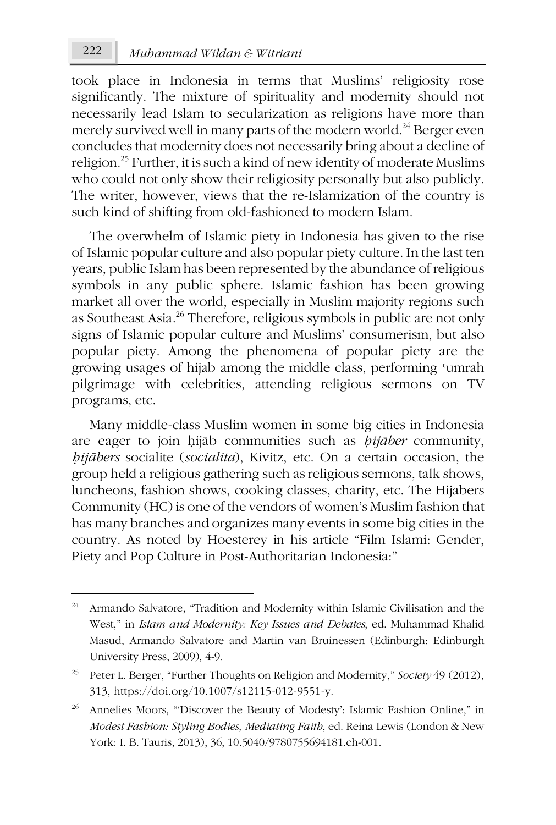took place in Indonesia in terms that Muslims' religiosity rose significantly. The mixture of spirituality and modernity should not necessarily lead Islam to secularization as religions have more than merely survived well in many parts of the modern world.<sup>24</sup> Berger even concludes that modernity does not necessarily bring about a decline of religion.25 Further, it is such a kind of new identity of moderate Muslims who could not only show their religiosity personally but also publicly. The writer, however, views that the re-Islamization of the country is such kind of shifting from old-fashioned to modern Islam.

The overwhelm of Islamic piety in Indonesia has given to the rise of Islamic popular culture and also popular piety culture. In the last ten years, public Islam has been represented by the abundance of religious symbols in any public sphere. Islamic fashion has been growing market all over the world, especially in Muslim majority regions such as Southeast Asia.26 Therefore, religious symbols in public are not only signs of Islamic popular culture and Muslims' consumerism, but also popular piety. Among the phenomena of popular piety are the growing usages of hijab among the middle class, performing ʿumrah pilgrimage with celebrities, attending religious sermons on TV programs, etc.

Many middle-class Muslim women in some big cities in Indonesia are eager to join ḥijāb communities such as *ḥijāber* community, *ḥijābers* socialite (*socialita*), Kivitz, etc. On a certain occasion, the group held a religious gathering such as religious sermons, talk shows, luncheons, fashion shows, cooking classes, charity, etc. The Hijabers Community (HC) is one of the vendors of women's Muslim fashion that has many branches and organizes many events in some big cities in the country. As noted by Hoesterey in his article "Film Islami: Gender, Piety and Pop Culture in Post-Authoritarian Indonesia:"

Armando Salvatore, "Tradition and Modernity within Islamic Civilisation and the West," in *Islam and Modernity: Key Issues and Debates*, ed. Muhammad Khalid Masud, Armando Salvatore and Martin van Bruinessen (Edinburgh: Edinburgh University Press, 2009), 4-9.

<sup>25</sup> Peter L. Berger, "Further Thoughts on Religion and Modernity," *Society* 49 (2012), 313, https://doi.org/10.1007/s12115-012-9551-y.

<sup>&</sup>lt;sup>26</sup> Annelies Moors, "Discover the Beauty of Modesty': Islamic Fashion Online," in *Modest Fashion: Styling Bodies, Mediating Faith*, ed. Reina Lewis (London & New York: I. B. Tauris, 2013), 36, 10.5040/9780755694181.ch-001.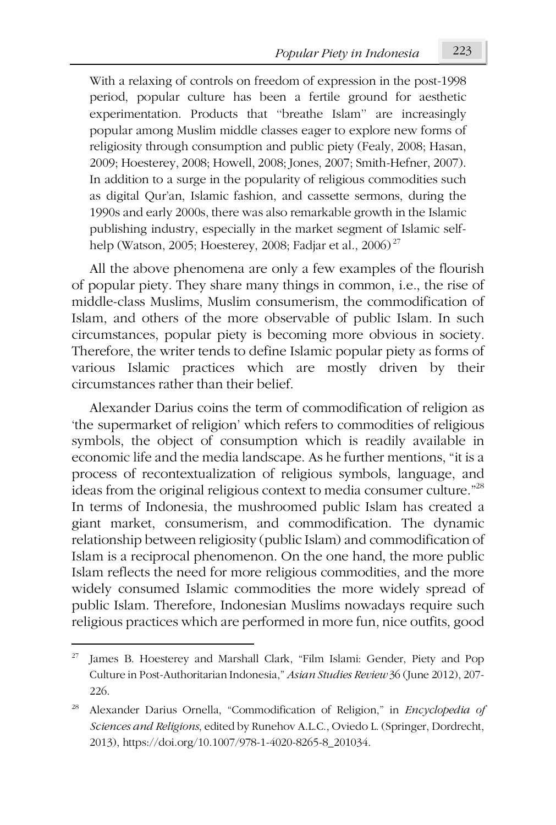With a relaxing of controls on freedom of expression in the post-1998 period, popular culture has been a fertile ground for aesthetic experimentation. Products that ''breathe Islam'' are increasingly popular among Muslim middle classes eager to explore new forms of religiosity through consumption and public piety (Fealy, 2008; Hasan, 2009; Hoesterey, 2008; Howell, 2008; Jones, 2007; Smith-Hefner, 2007). In addition to a surge in the popularity of religious commodities such as digital Qur'an, Islamic fashion, and cassette sermons, during the 1990s and early 2000s, there was also remarkable growth in the Islamic publishing industry, especially in the market segment of Islamic selfhelp (Watson, 2005; Hoesterey, 2008; Fadjar et al., 2006) <sup>27</sup>

All the above phenomena are only a few examples of the flourish of popular piety. They share many things in common, i.e., the rise of middle-class Muslims, Muslim consumerism, the commodification of Islam, and others of the more observable of public Islam. In such circumstances, popular piety is becoming more obvious in society. Therefore, the writer tends to define Islamic popular piety as forms of various Islamic practices which are mostly driven by their circumstances rather than their belief.

Alexander Darius coins the term of commodification of religion as 'the supermarket of religion' which refers to commodities of religious symbols, the object of consumption which is readily available in economic life and the media landscape. As he further mentions, "it is a process of recontextualization of religious symbols, language, and ideas from the original religious context to media consumer culture." 28 In terms of Indonesia, the mushroomed public Islam has created a giant market, consumerism, and commodification. The dynamic relationship between religiosity (public Islam) and commodification of Islam is a reciprocal phenomenon. On the one hand, the more public Islam reflects the need for more religious commodities, and the more widely consumed Islamic commodities the more widely spread of public Islam. Therefore, Indonesian Muslims nowadays require such religious practices which are performed in more fun, nice outfits, good

James B. Hoesterey and Marshall Clark, "Film Islami: Gender, Piety and Pop Culture in Post-Authoritarian Indonesia," *Asian Studies Review* 36 (June 2012), 207- 226.

<sup>28</sup> Alexander Darius Ornella, "Commodification of Religion," in *Encyclopedia of Sciences and Religions*, edited by Runehov A.L.C., Oviedo L. (Springer, Dordrecht, 2013), https://doi.org/10.1007/978-1-4020-8265-8\_201034.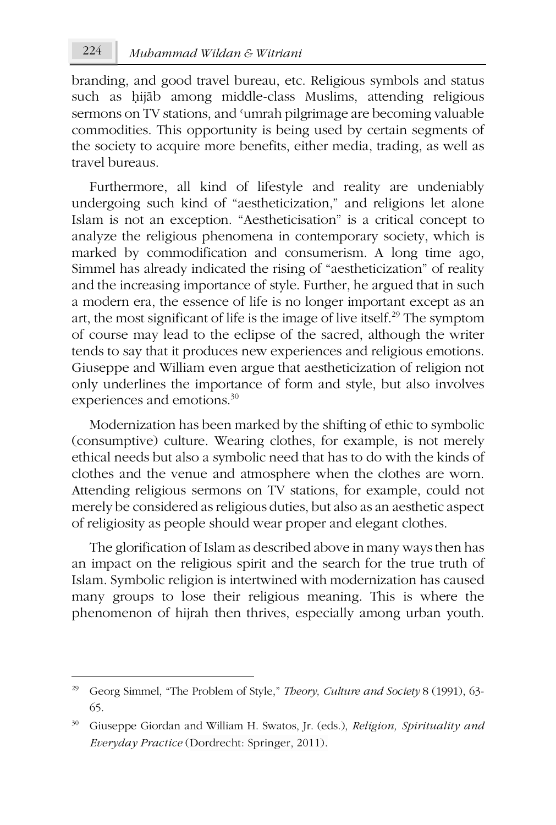branding, and good travel bureau, etc. Religious symbols and status such as ḥijāb among middle-class Muslims, attending religious sermons on TV stations, and 'umrah pilgrimage are becoming valuable commodities. This opportunity is being used by certain segments of the society to acquire more benefits, either media, trading, as well as travel bureaus.

Furthermore, all kind of lifestyle and reality are undeniably undergoing such kind of "aestheticization," and religions let alone Islam is not an exception. "Aestheticisation" is a critical concept to analyze the religious phenomena in contemporary society, which is marked by commodification and consumerism. A long time ago, Simmel has already indicated the rising of "aestheticization" of reality and the increasing importance of style. Further, he argued that in such a modern era, the essence of life is no longer important except as an art, the most significant of life is the image of live itself.<sup>29</sup> The symptom of course may lead to the eclipse of the sacred, although the writer tends to say that it produces new experiences and religious emotions. Giuseppe and William even argue that aestheticization of religion not only underlines the importance of form and style, but also involves experiences and emotions.30

Modernization has been marked by the shifting of ethic to symbolic (consumptive) culture. Wearing clothes, for example, is not merely ethical needs but also a symbolic need that has to do with the kinds of clothes and the venue and atmosphere when the clothes are worn. Attending religious sermons on TV stations, for example, could not merely be considered as religious duties, but also as an aesthetic aspect of religiosity as people should wear proper and elegant clothes.

The glorification of Islam as described above in many ways then has an impact on the religious spirit and the search for the true truth of Islam. Symbolic religion is intertwined with modernization has caused many groups to lose their religious meaning. This is where the phenomenon of hijrah then thrives, especially among urban youth.

<sup>29</sup> Georg Simmel, "The Problem of Style," *Theory, Culture and Society* 8 (1991), 63- 65.

<sup>30</sup> Giuseppe Giordan and William H. Swatos, Jr. (eds.), *Religion, Spirituality and Everyday Practice* (Dordrecht: Springer, 2011).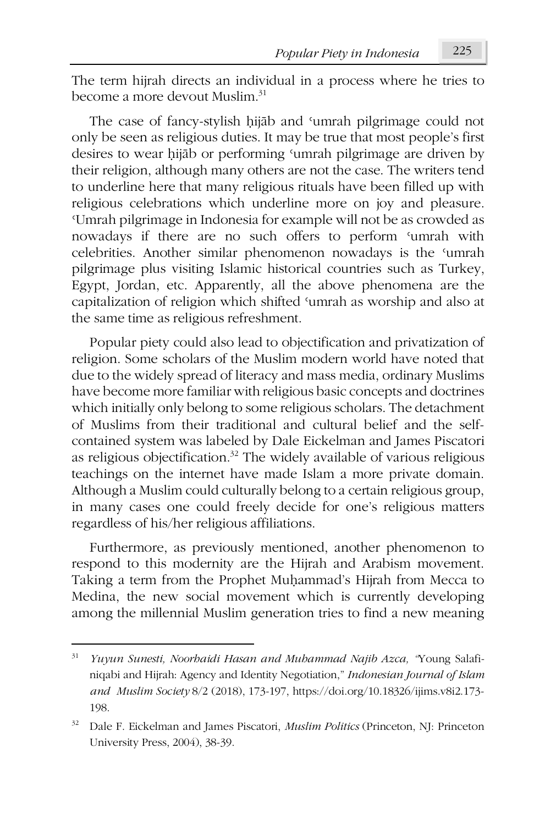The term hijrah directs an individual in a process where he tries to become a more devout Muslim. 31

The case of fancy-stylish ḥijāb and ʿumrah pilgrimage could not only be seen as religious duties. It may be true that most people's first desires to wear ḥijāb or performing ʿumrah pilgrimage are driven by their religion, although many others are not the case. The writers tend to underline here that many religious rituals have been filled up with religious celebrations which underline more on joy and pleasure. ʿUmrah pilgrimage in Indonesia for example will not be as crowded as nowadays if there are no such offers to perform ʿumrah with celebrities. Another similar phenomenon nowadays is the ʿumrah pilgrimage plus visiting Islamic historical countries such as Turkey, Egypt, Jordan, etc. Apparently, all the above phenomena are the capitalization of religion which shifted ʿumrah as worship and also at the same time as religious refreshment.

Popular piety could also lead to objectification and privatization of religion. Some scholars of the Muslim modern world have noted that due to the widely spread of literacy and mass media, ordinary Muslims have become more familiar with religious basic concepts and doctrines which initially only belong to some religious scholars. The detachment of Muslims from their traditional and cultural belief and the selfcontained system was labeled by Dale Eickelman and James Piscatori as religious objectification. <sup>32</sup> The widely available of various religious teachings on the internet have made Islam a more private domain. Although a Muslim could culturally belong to a certain religious group, in many cases one could freely decide for one's religious matters regardless of his/her religious affiliations.

Furthermore, as previously mentioned, another phenomenon to respond to this modernity are the Hijrah and Arabism movement. Taking a term from the Prophet Muḥammad's Hijrah from Mecca to Medina, the new social movement which is currently developing among the millennial Muslim generation tries to find a new meaning

<sup>31</sup> *Yuyun Sunesti, Noorhaidi Hasan and Muhammad Najib Azca, "*Young Salafiniqabi and Hijrah: Agency and Identity Negotiation," *Indonesian Journal of Islam and Muslim Society* 8/2 (2018), 173-197, https://doi.org/10.18326/ijims.v8i2.173- 198.

<sup>32</sup> Dale F. Eickelman and James Piscatori, *Muslim Politics* (Princeton, NJ: Princeton University Press, 2004), 38-39.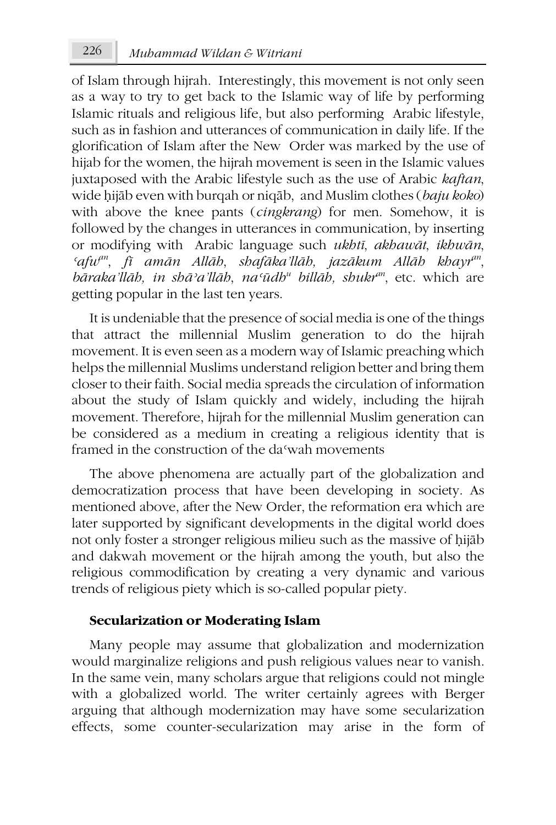of Islam through hijrah. Interestingly, this movement is not only seen as a way to try to get back to the Islamic way of life by performing Islamic rituals and religious life, but also performing Arabic lifestyle, such as in fashion and utterances of communication in daily life. If the glorification of Islam after the New Order was marked by the use of hijab for the women, the hijrah movement is seen in the Islamic values juxtaposed with the Arabic lifestyle such as the use of Arabic *kaftan*, wide ḥijāb even with burqah or niqāb, and Muslim clothes (*baju koko*) with above the knee pants (*cingkrang*) for men. Somehow, it is followed by the changes in utterances in communication, by inserting or modifying with Arabic language such *ukhtī*, *akhawāt*, *ikhwān*, *ʿafwan*, *fī amān Allāh*, *shafāka'llāh, jazākum Allāh khayr an*, *bāraka'llāh, in shāʾa'llāh*, *naʿūdh<sup>u</sup> billāh, shukran*, etc. which are getting popular in the last ten years.

It is undeniable that the presence of social media is one of the things that attract the millennial Muslim generation to do the hijrah movement. It is even seen as a modern way of Islamic preaching which helps the millennial Muslims understand religion better and bring them closer to their faith. Social media spreads the circulation of information about the study of Islam quickly and widely, including the hijrah movement. Therefore, hijrah for the millennial Muslim generation can be considered as a medium in creating a religious identity that is framed in the construction of the daʿwah movements

The above phenomena are actually part of the globalization and democratization process that have been developing in society. As mentioned above, after the New Order, the reformation era which are later supported by significant developments in the digital world does not only foster a stronger religious milieu such as the massive of ḥijāb and dakwah movement or the hijrah among the youth, but also the religious commodification by creating a very dynamic and various trends of religious piety which is so-called popular piety.

### **Secularization or Moderating Islam**

Many people may assume that globalization and modernization would marginalize religions and push religious values near to vanish. In the same vein, many scholars argue that religions could not mingle with a globalized world. The writer certainly agrees with Berger arguing that although modernization may have some secularization effects, some counter-secularization may arise in the form of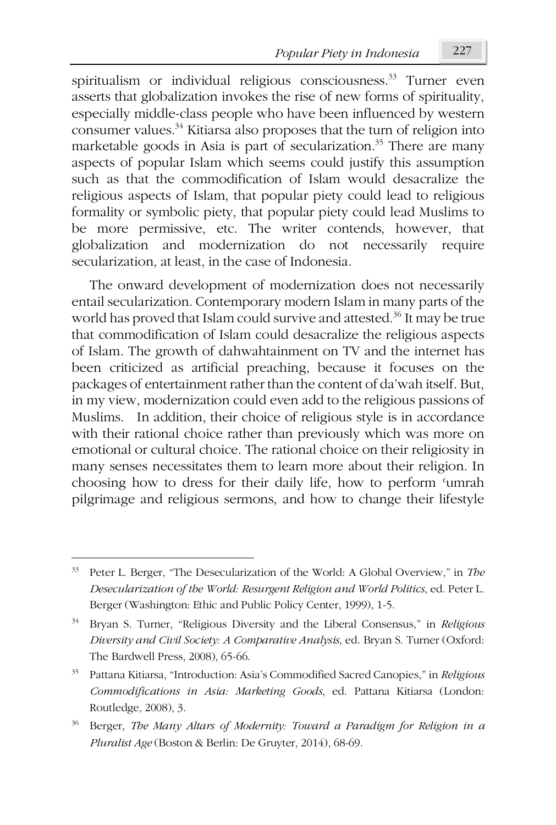spiritualism or individual religious consciousness.<sup>33</sup> Turner even asserts that globalization invokes the rise of new forms of spirituality, especially middle-class people who have been influenced by western consumer values.<sup>34</sup> Kitiarsa also proposes that the turn of religion into marketable goods in Asia is part of secularization.<sup>35</sup> There are many aspects of popular Islam which seems could justify this assumption such as that the commodification of Islam would desacralize the religious aspects of Islam, that popular piety could lead to religious formality or symbolic piety, that popular piety could lead Muslims to be more permissive, etc. The writer contends, however, that globalization and modernization do not necessarily require secularization, at least, in the case of Indonesia.

The onward development of modernization does not necessarily entail secularization. Contemporary modern Islam in many parts of the world has proved that Islam could survive and attested.<sup>36</sup> It may be true that commodification of Islam could desacralize the religious aspects of Islam. The growth of dahwahtainment on TV and the internet has been criticized as artificial preaching, because it focuses on the packages of entertainment rather than the content of da'wah itself. But, in my view, modernization could even add to the religious passions of Muslims. In addition, their choice of religious style is in accordance with their rational choice rather than previously which was more on emotional or cultural choice. The rational choice on their religiosity in many senses necessitates them to learn more about their religion. In choosing how to dress for their daily life, how to perform ʿumrah pilgrimage and religious sermons, and how to change their lifestyle

<sup>33</sup> Peter L. Berger, "The Desecularization of the World: A Global Overview," in *The Desecularization of the World: Resurgent Religion and World Politics*, ed. Peter L. Berger (Washington: Ethic and Public Policy Center, 1999), 1-5.

<sup>34</sup> Bryan S. Turner, "Religious Diversity and the Liberal Consensus," in *Religious Diversity and Civil Society: A Comparative Analysis*, ed. Bryan S. Turner (Oxford: The Bardwell Press, 2008), 65-66.

<sup>35</sup> Pattana Kitiarsa, "Introduction: Asia's Commodified Sacred Canopies," in *Religious Commodifications in Asia: Marketing Goods*, ed. Pattana Kitiarsa (London: Routledge, 2008), 3.

<sup>36</sup> Berger, *The Many Altars of Modernity: Toward a Paradigm for Religion in a Pluralist Age* (Boston & Berlin: De Gruyter, 2014), 68-69.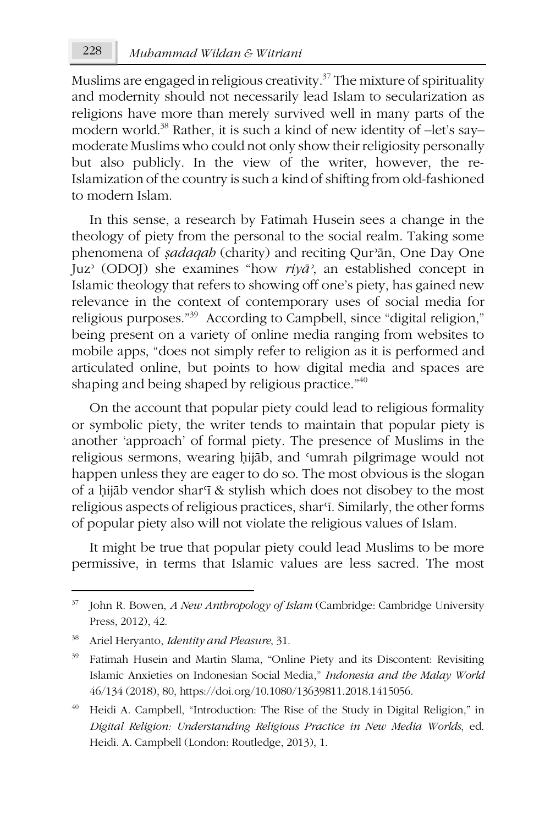Muslims are engaged in religious creativity. $37$  The mixture of spirituality and modernity should not necessarily lead Islam to secularization as religions have more than merely survived well in many parts of the modern world.38 Rather, it is such a kind of new identity of –let's say– moderate Muslims who could not only show their religiosity personally but also publicly. In the view of the writer, however, the re-Islamization of the country is such a kind of shifting from old-fashioned to modern Islam.

In this sense, a research by Fatimah Husein sees a change in the theology of piety from the personal to the social realm. Taking some phenomena of *ṣadaqah* (charity) and reciting Qurʾān, One Day One Juzʾ (ODOJ) she examines "how *riyāʾ*, an established concept in Islamic theology that refers to showing off one's piety, has gained new relevance in the context of contemporary uses of social media for religious purposes." 39 According to Campbell, since "digital religion," being present on a variety of online media ranging from websites to mobile apps, "does not simply refer to religion as it is performed and articulated online, but points to how digital media and spaces are shaping and being shaped by religious practice."<sup>40</sup>

On the account that popular piety could lead to religious formality or symbolic piety, the writer tends to maintain that popular piety is another 'approach' of formal piety. The presence of Muslims in the religious sermons, wearing ḥijāb, and ʿumrah pilgrimage would not happen unless they are eager to do so. The most obvious is the slogan of a hijāb vendor shar<sup>q</sup> & stylish which does not disobey to the most religious aspects of religious practices, shar<sup>*f*</sup>. Similarly, the other forms of popular piety also will not violate the religious values of Islam.

It might be true that popular piety could lead Muslims to be more permissive, in terms that Islamic values are less sacred. The most

<sup>37</sup> John R. Bowen, *A New Anthropology of Islam* (Cambridge: Cambridge University Press, 2012), 42.

<sup>38</sup> Ariel Heryanto, *Identity and Pleasure*, 31.

<sup>&</sup>lt;sup>39</sup> Fatimah Husein and Martin Slama, "Online Piety and its Discontent: Revisiting Islamic Anxieties on Indonesian Social Media," *Indonesia and the Malay World* 46/134 (2018), 80, https://doi.org/10.1080/13639811.2018.1415056.

<sup>&</sup>lt;sup>40</sup> Heidi A. Campbell, "Introduction: The Rise of the Study in Digital Religion," in *Digital Religion: Understanding Religious Practice in New Media Worlds*, ed. Heidi. A. Campbell (London: Routledge, 2013), 1.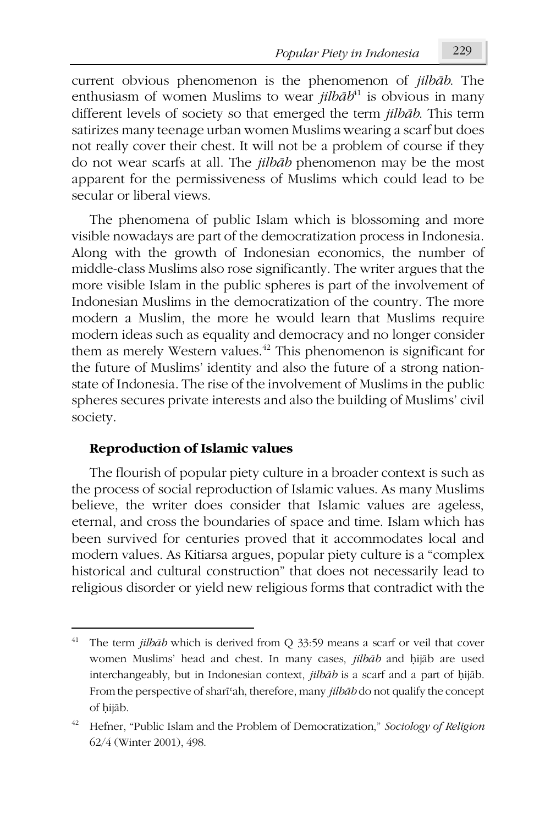current obvious phenomenon is the phenomenon of *jilbāb*. The enthusiasm of women Muslims to wear *jilb* $\bar{a}b^{41}$  is obvious in many different levels of society so that emerged the term *jilbāb*. This term satirizes many teenage urban women Muslims wearing a scarf but does not really cover their chest. It will not be a problem of course if they do not wear scarfs at all. The *jilbāb* phenomenon may be the most apparent for the permissiveness of Muslims which could lead to be secular or liberal views.

The phenomena of public Islam which is blossoming and more visible nowadays are part of the democratization process in Indonesia. Along with the growth of Indonesian economics, the number of middle-class Muslims also rose significantly. The writer argues that the more visible Islam in the public spheres is part of the involvement of Indonesian Muslims in the democratization of the country. The more modern a Muslim, the more he would learn that Muslims require modern ideas such as equality and democracy and no longer consider them as merely Western values.<sup>42</sup> This phenomenon is significant for the future of Muslims' identity and also the future of a strong nationstate of Indonesia. The rise of the involvement of Muslims in the public spheres secures private interests and also the building of Muslims' civil society.

### **Reproduction of Islamic values**

**.** 

The flourish of popular piety culture in a broader context is such as the process of social reproduction of Islamic values. As many Muslims believe, the writer does consider that Islamic values are ageless, eternal, and cross the boundaries of space and time. Islam which has been survived for centuries proved that it accommodates local and modern values. As Kitiarsa argues, popular piety culture is a "complex historical and cultural construction" that does not necessarily lead to religious disorder or yield new religious forms that contradict with the

<sup>41</sup> The term *jilbāb* which is derived from Q 33:59 means a scarf or veil that cover women Muslims' head and chest. In many cases, *jilbāb* and ḥijāb are used interchangeably, but in Indonesian context, *jilbāb* is a scarf and a part of ḥijāb. From the perspective of sharīʿah, therefore, many *jilbāb* do not qualify the concept of ḥijāb.

<sup>42</sup> Hefner, "Public Islam and the Problem of Democratization," *Sociology of Religion* 62/4 (Winter 2001), 498.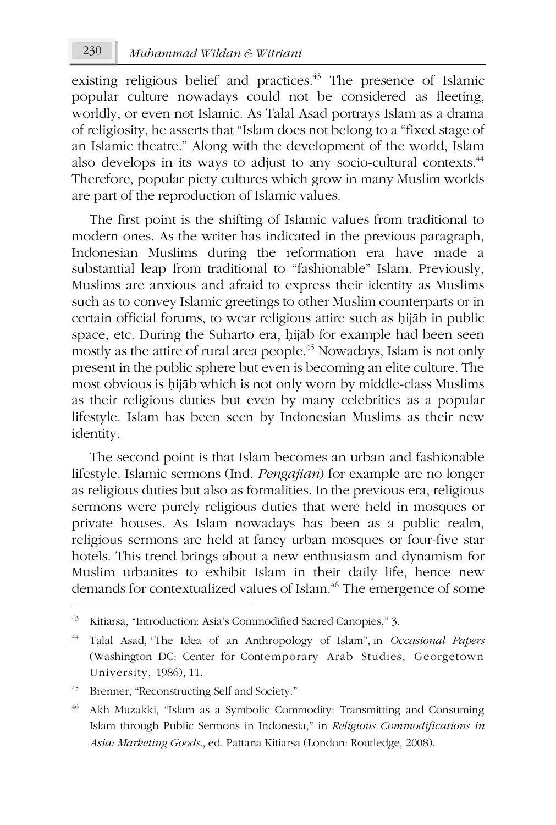existing religious belief and practices.<sup>43</sup> The presence of Islamic popular culture nowadays could not be considered as fleeting, worldly, or even not Islamic. As Talal Asad portrays Islam as a drama of religiosity, he asserts that "Islam does not belong to a "fixed stage of an Islamic theatre." Along with the development of the world, Islam also develops in its ways to adjust to any socio-cultural contexts.<sup>44</sup> Therefore, popular piety cultures which grow in many Muslim worlds are part of the reproduction of Islamic values.

The first point is the shifting of Islamic values from traditional to modern ones. As the writer has indicated in the previous paragraph, Indonesian Muslims during the reformation era have made a substantial leap from traditional to "fashionable" Islam. Previously, Muslims are anxious and afraid to express their identity as Muslims such as to convey Islamic greetings to other Muslim counterparts or in certain official forums, to wear religious attire such as ḥijāb in public space, etc. During the Suharto era, hijāb for example had been seen mostly as the attire of rural area people.<sup>45</sup> Nowadays, Islam is not only present in the public sphere but even is becoming an elite culture. The most obvious is ḥijāb which is not only worn by middle-class Muslims as their religious duties but even by many celebrities as a popular lifestyle. Islam has been seen by Indonesian Muslims as their new identity.

The second point is that Islam becomes an urban and fashionable lifestyle. Islamic sermons (Ind. *Pengajian*) for example are no longer as religious duties but also as formalities. In the previous era, religious sermons were purely religious duties that were held in mosques or private houses. As Islam nowadays has been as a public realm, religious sermons are held at fancy urban mosques or four-five star hotels. This trend brings about a new enthusiasm and dynamism for Muslim urbanites to exhibit Islam in their daily life, hence new demands for contextualized values of Islam.<sup>46</sup> The emergence of some

<sup>43</sup> Kitiarsa, "Introduction: Asia's Commodified Sacred Canopies," 3.

<sup>44</sup> Talal Asad, "The Idea of an Anthropology of Islam", in *Occasional Papers* (Washington DC: Center for Contemporary Arab Studies, Georgetown University, 1986), 11.

<sup>45</sup> Brenner, "Reconstructing Self and Society."

<sup>46</sup> Akh Muzakki, "Islam as a Symbolic Commodity: Transmitting and Consuming Islam through Public Sermons in Indonesia," in *Religious Commodifications in Asia: Marketing Goods.*, ed. Pattana Kitiarsa (London: Routledge, 2008).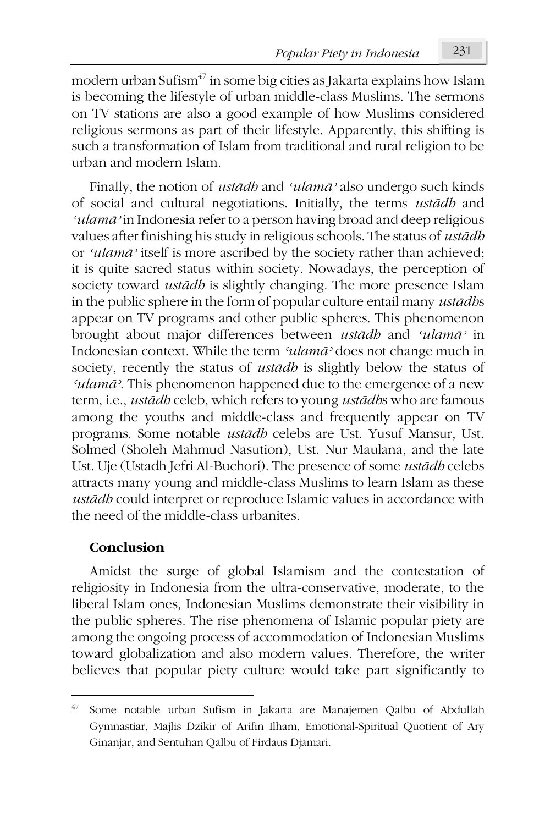modern urban Sufism<sup>47</sup> in some big cities as Jakarta explains how Islam is becoming the lifestyle of urban middle-class Muslims. The sermons on TV stations are also a good example of how Muslims considered religious sermons as part of their lifestyle. Apparently, this shifting is such a transformation of Islam from traditional and rural religion to be urban and modern Islam.

Finally, the notion of *ustādh* and *ʿulamāʾ* also undergo such kinds of social and cultural negotiations. Initially, the terms *ustādh* and *ʿulamāʾ* in Indonesia refer to a person having broad and deep religious values after finishing his study in religious schools. The status of *ustādh* or *ʿulamāʾ* itself is more ascribed by the society rather than achieved; it is quite sacred status within society. Nowadays, the perception of society toward *ustādh* is slightly changing. The more presence Islam in the public sphere in the form of popular culture entail many *ustādh*s appear on TV programs and other public spheres. This phenomenon brought about major differences between *ustādh* and *ʿulamāʾ* in Indonesian context. While the term *ʿulamāʾ* does not change much in society, recently the status of *ustādh* is slightly below the status of *ʿulamāʾ*. This phenomenon happened due to the emergence of a new term, i.e., *ustādh* celeb, which refers to young *ustādh*s who are famous among the youths and middle-class and frequently appear on TV programs. Some notable *ustādh* celebs are Ust. Yusuf Mansur, Ust. Solmed (Sholeh Mahmud Nasution), Ust. Nur Maulana, and the late Ust. Uje (Ustadh Jefri Al-Buchori). The presence of some *ustādh* celebs attracts many young and middle-class Muslims to learn Islam as these *ustādh* could interpret or reproduce Islamic values in accordance with the need of the middle-class urbanites.

### **Conclusion**

**.** 

Amidst the surge of global Islamism and the contestation of religiosity in Indonesia from the ultra-conservative, moderate, to the liberal Islam ones, Indonesian Muslims demonstrate their visibility in the public spheres. The rise phenomena of Islamic popular piety are among the ongoing process of accommodation of Indonesian Muslims toward globalization and also modern values. Therefore, the writer believes that popular piety culture would take part significantly to

<sup>47</sup> Some notable urban Sufism in Jakarta are Manajemen Qalbu of Abdullah Gymnastiar, Majlis Dzikir of Arifin Ilham, Emotional-Spiritual Quotient of Ary Ginanjar, and Sentuhan Qalbu of Firdaus Djamari.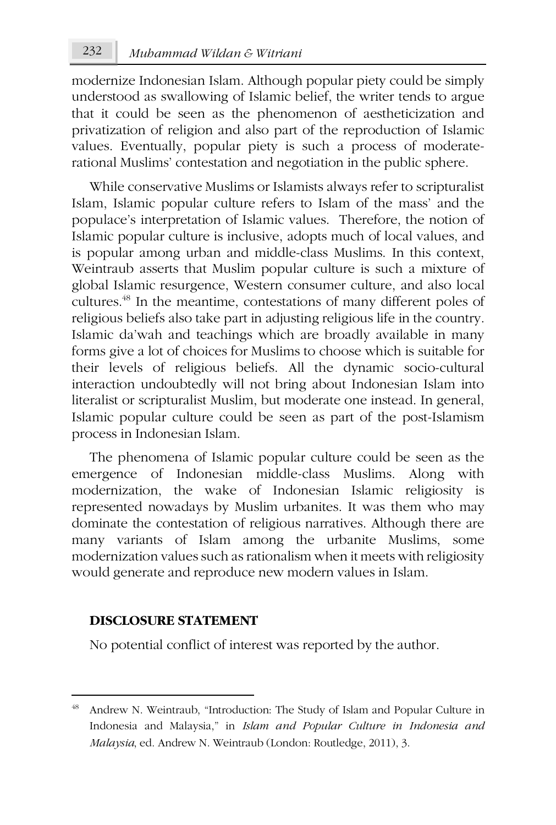modernize Indonesian Islam. Although popular piety could be simply understood as swallowing of Islamic belief, the writer tends to argue that it could be seen as the phenomenon of aestheticization and privatization of religion and also part of the reproduction of Islamic values. Eventually, popular piety is such a process of moderaterational Muslims' contestation and negotiation in the public sphere.

While conservative Muslims or Islamists always refer to scripturalist Islam, Islamic popular culture refers to Islam of the mass' and the populace's interpretation of Islamic values. Therefore, the notion of Islamic popular culture is inclusive, adopts much of local values, and is popular among urban and middle-class Muslims. In this context, Weintraub asserts that Muslim popular culture is such a mixture of global Islamic resurgence, Western consumer culture, and also local cultures.48 In the meantime, contestations of many different poles of religious beliefs also take part in adjusting religious life in the country. Islamic da'wah and teachings which are broadly available in many forms give a lot of choices for Muslims to choose which is suitable for their levels of religious beliefs. All the dynamic socio-cultural interaction undoubtedly will not bring about Indonesian Islam into literalist or scripturalist Muslim, but moderate one instead. In general, Islamic popular culture could be seen as part of the post-Islamism process in Indonesian Islam.

The phenomena of Islamic popular culture could be seen as the emergence of Indonesian middle-class Muslims. Along with modernization, the wake of Indonesian Islamic religiosity is represented nowadays by Muslim urbanites. It was them who may dominate the contestation of religious narratives. Although there are many variants of Islam among the urbanite Muslims, some modernization values such as rationalism when it meets with religiosity would generate and reproduce new modern values in Islam.

### **DISCLOSURE STATEMENT**

1

No potential conflict of interest was reported by the author.

Andrew N. Weintraub, "Introduction: The Study of Islam and Popular Culture in Indonesia and Malaysia," in *Islam and Popular Culture in Indonesia and Malaysia*, ed. Andrew N. Weintraub (London: Routledge, 2011), 3.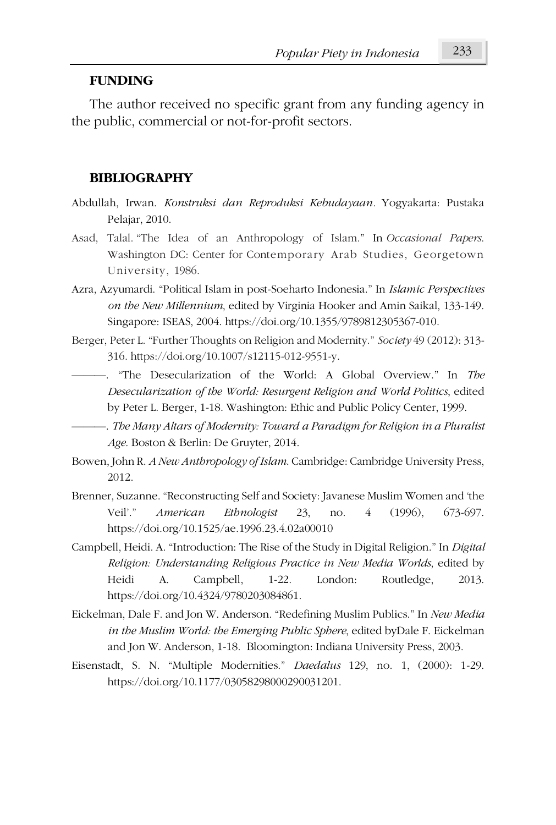#### **FUNDING**

The author received no specific grant from any funding agency in the public, commercial or not-for-profit sectors.

#### **BIBLIOGRAPHY**

- Abdullah, Irwan. *Konstruksi dan Reproduksi Kebudayaan.* Yogyakarta: Pustaka Pelajar, 2010.
- Asad, Talal. "The Idea of an Anthropology of Islam." In *Occasional Papers*. Washington DC: Center for Contemporary Arab Studies, Georgetown University, 1986.
- Azra, Azyumardi. "Political Islam in post-Soeharto Indonesia." In *Islamic Perspectives on the New Millennium*, edited by Virginia Hooker and Amin Saikal, 133-149. Singapore: ISEAS, 2004. https://doi.org/10.1355/9789812305367-010.
- Berger, Peter L. "Further Thoughts on Religion and Modernity." *Society* 49 (2012): 313- 316. https://doi.org/10.1007/s12115-012-9551-y.
	- ———. "The Desecularization of the World: A Global Overview." In *The Desecularization of the World: Resurgent Religion and World Politics*, edited by Peter L. Berger, 1-18. Washington: Ethic and Public Policy Center, 1999.
	- ———. *The Many Altars of Modernity: Toward a Paradigm for Religion in a Pluralist Age*. Boston & Berlin: De Gruyter, 2014.
- Bowen, John R. *A New Anthropology of Islam*. Cambridge: Cambridge University Press, 2012.
- Brenner, Suzanne. "Reconstructing Self and Society: Javanese Muslim Women and 'the Veil'." *American Ethnologist* 23, no. 4 (1996), 673-697. https://doi.org/10.1525/ae.1996.23.4.02a00010
- Campbell, Heidi. A. "Introduction: The Rise of the Study in Digital Religion." In *Digital Religion: Understanding Religious Practice in New Media Worlds*, edited by Heidi A. Campbell, 1-22. London: Routledge, 2013. https://doi.org/10.4324/9780203084861.
- Eickelman, Dale F. and Jon W. Anderson. "Redefining Muslim Publics." In *New Media in the Muslim World: the Emerging Public Sphere*, edited byDale F. Eickelman and Jon W. Anderson, 1-18. Bloomington: Indiana University Press, 2003.
- Eisenstadt, S. N. "Multiple Modernities." *Daedalus* 129, no. 1, (2000): 1-29. https://doi.org/10.1177/03058298000290031201.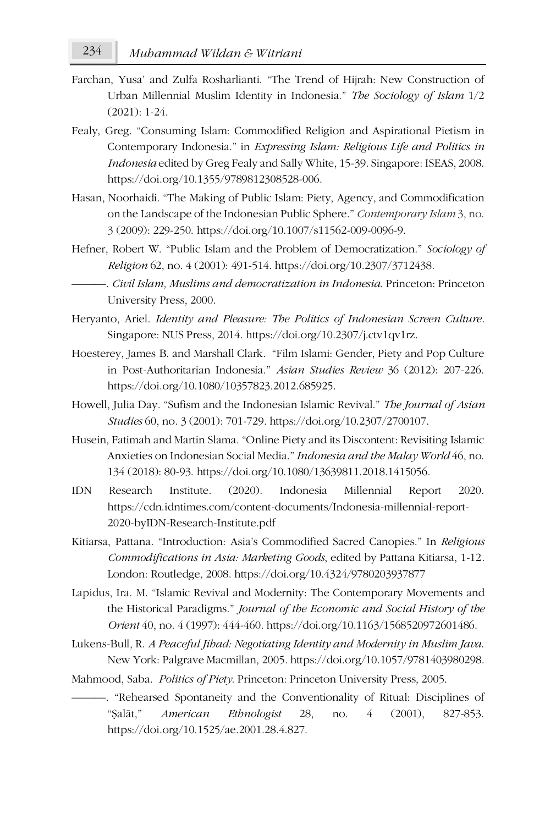- Farchan, Yusa' and Zulfa Rosharlianti. "The Trend of Hijrah: New Construction of Urban Millennial Muslim Identity in Indonesia." *The Sociology of Islam* 1/2 (2021): 1-24.
- Fealy, Greg. "Consuming Islam: Commodified Religion and Aspirational Pietism in Contemporary Indonesia." in *Expressing Islam: Religious Life and Politics in Indonesia* edited by Greg Fealy and Sally White, 15-39. Singapore: ISEAS, 2008. https://doi.org/10.1355/9789812308528-006.
- Hasan, Noorhaidi. "The Making of Public Islam: Piety, Agency, and Commodification on the Landscape of the Indonesian Public Sphere." *Contemporary Islam* 3, no. 3 (2009): 229-250. https://doi.org/10.1007/s11562-009-0096-9.
- Hefner, Robert W. "Public Islam and the Problem of Democratization." *Sociology of Religion* 62, no. 4 (2001): 491-514. https://doi.org/10.2307/3712438.
- ———. *Civil Islam, Muslims and democratization in Indonesia*. Princeton: Princeton University Press, 2000.
- Heryanto, Ariel. *Identity and Pleasure: The Politics of Indonesian Screen Culture.* Singapore: NUS Press, 2014. https://doi.org/10.2307/j.ctv1qv1rz.
- Hoesterey, James B. and Marshall Clark. "Film Islami: Gender, Piety and Pop Culture in Post-Authoritarian Indonesia." *Asian Studies Review* 36 (2012): 207-226. https://doi.org/10.1080/10357823.2012.685925.
- Howell, Julia Day. "Sufism and the Indonesian Islamic Revival." *The Journal of Asian Studies* 60, no. 3 (2001): 701-729. https://doi.org/10.2307/2700107.
- Husein, Fatimah and Martin Slama. "Online Piety and its Discontent: Revisiting Islamic Anxieties on Indonesian Social Media." *Indonesia and the Malay World* 46, no. 134 (2018): 80-93. https://doi.org/10.1080/13639811.2018.1415056.
- IDN Research Institute. (2020). Indonesia Millennial Report 2020. https://cdn.idntimes.com/content-documents/Indonesia-millennial-report-2020-byIDN-Research-Institute.pdf
- Kitiarsa, Pattana. "Introduction: Asia's Commodified Sacred Canopies." In *Religious Commodifications in Asia: Marketing Goods*, edited by Pattana Kitiarsa, 1-12*.* London: Routledge, 2008. https://doi.org/10.4324/9780203937877
- Lapidus, Ira. M. "Islamic Revival and Modernity: The Contemporary Movements and the Historical Paradigms." *Journal of the Economic and Social History of the Orient* 40, no. 4 (1997): 444-460. https://doi.org/10.1163/1568520972601486.
- Lukens-Bull, R. *A Peaceful Jihad: Negotiating Identity and Modernity in Muslim Java*. New York: Palgrave Macmillan, 2005. https://doi.org/10.1057/9781403980298.
- Mahmood, Saba. *Politics of Piety*. Princeton: Princeton University Press, 2005.
	- ———. "Rehearsed Spontaneity and the Conventionality of Ritual: Disciplines of "Ṣalāt," *American Ethnologist* 28, no. 4 (2001), 827-853. https://doi.org/10.1525/ae.2001.28.4.827.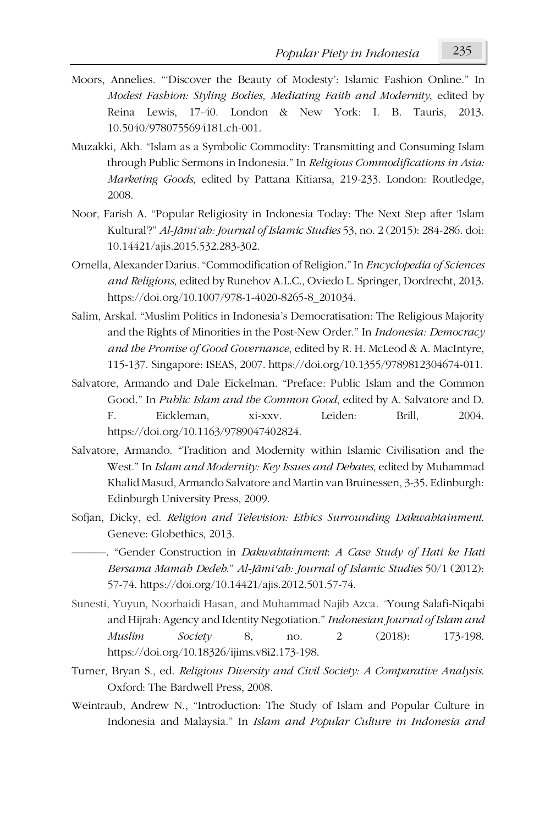- Moors, Annelies. "'Discover the Beauty of Modesty': Islamic Fashion Online." In *Modest Fashion: Styling Bodies, Mediating Faith and Modernity*, edited by Reina Lewis, 17-40. London & New York: I. B. Tauris, 2013. 10.5040/9780755694181.ch-001.
- Muzakki, Akh. "Islam as a Symbolic Commodity: Transmitting and Consuming Islam through Public Sermons in Indonesia." In *Religious Commodifications in Asia: Marketing Goods*, edited by Pattana Kitiarsa, 219-233. London: Routledge, 2008.
- Noor, Farish A. "Popular Religiosity in Indonesia Today: The Next Step after 'Islam Kultural'?" *Al-Jāmi'ah: Journal of Islamic Studies* 53, no. 2 (2015): 284-286. doi: 10.14421/ajis.2015.532.283-302.
- Ornella, Alexander Darius."Commodification of Religion."In *Encyclopedia of Sciences and Religions*, edited by Runehov A.L.C., Oviedo L. Springer, Dordrecht, 2013. https://doi.org/10.1007/978-1-4020-8265-8\_201034.
- Salim, Arskal. "Muslim Politics in Indonesia's Democratisation: The Religious Majority and the Rights of Minorities in the Post-New Order." In *Indonesia: Democracy and the Promise of Good Governance*, edited by R. H. McLeod & A. MacIntyre, 115-137. Singapore: ISEAS, 2007. https://doi.org/10.1355/9789812304674-011.
- Salvatore, Armando and Dale Eickelman. "Preface: Public Islam and the Common Good." In *Public Islam and the Common Good*, edited by A. Salvatore and D. F. Eickleman, xi-xxv. Leiden: Brill, 2004. https://doi.org/10.1163/9789047402824.
- Salvatore, Armando. "Tradition and Modernity within Islamic Civilisation and the West." In *Islam and Modernity: Key Issues and Debates*, edited by Muhammad Khalid Masud, Armando Salvatore and Martin van Bruinessen, 3-35. Edinburgh: Edinburgh University Press, 2009.
- Sofjan, Dicky, ed. *Religion and Television: Ethics Surrounding Dakwahtainment*. Geneve: Globethics, 2013.
- ———. "Gender Construction in *Dakwahtainment*: *A Case Study of Hati ke Hati Bersama Mamah Dedeh*." *Al-Jāmiʿah: Journal of Islamic Studies* 50/1 (2012): 57-74. https://doi.org/10.14421/ajis.2012.501.57-74.
- Sunesti, Yuyun, Noorhaidi Hasan, and Muhammad Najib Azca*. "*Young Salafi-Niqabi and Hijrah: Agency and Identity Negotiation." *Indonesian Journal of Islam and Muslim Society* 8, no. 2 (2018): 173-198. https://doi.org/10.18326/ijims.v8i2.173-198.
- Turner, Bryan S., ed. *Religious Diversity and Civil Society: A Comparative Analysis*. Oxford: The Bardwell Press, 2008.
- Weintraub, Andrew N., "Introduction: The Study of Islam and Popular Culture in Indonesia and Malaysia." In *Islam and Popular Culture in Indonesia and*